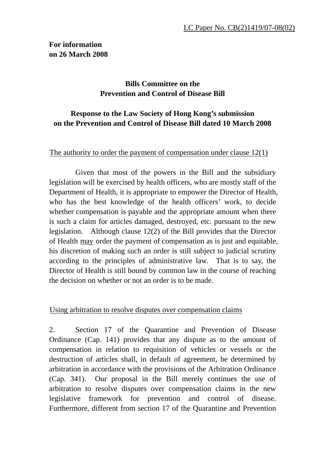# **Bills Committee on the Prevention and Control of Disease Bill**

# **Response to the Law Society of Hong Kong's submission on the Prevention and Control of Disease Bill dated 10 March 2008**

### The authority to order the payment of compensation under clause  $12(1)$ .

 Given that most of the powers in the Bill and the subsidiary legislation will be exercised by health officers, who are mostly staff of the Department of Health, it is appropriate to empower the Director of Health, who has the best knowledge of the health officers' work, to decide whether compensation is payable and the appropriate amount when there is such a claim for articles damaged, destroyed, etc. pursuant to the new legislation. Although clause 12(2) of the Bill provides that the Director of Health may order the payment of compensation as is just and equitable, his discretion of making such an order is still subject to judicial scrutiny according to the principles of administrative law. That is to say, the Director of Health is still bound by common law in the course of reaching the decision on whether or not an order is to be made.

#### Using arbitration to resolve disputes over compensation claims

2. Section 17 of the Quarantine and Prevention of Disease Ordinance (Cap. 141) provides that any dispute as to the amount of compensation in relation to requisition of vehicles or vessels or the destruction of articles shall, in default of agreement, be determined by arbitration in accordance with the provisions of the Arbitration Ordinance (Cap. 341). Our proposal in the Bill merely continues the use of arbitration to resolve disputes over compensation claims in the new legislative framework for prevention and control of disease. Furthermore, different from section 17 of the Quarantine and Prevention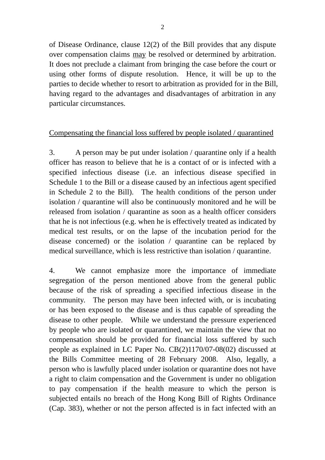of Disease Ordinance, clause 12(2) of the Bill provides that any dispute over compensation claims may be resolved or determined by arbitration. It does not preclude a claimant from bringing the case before the court or using other forms of dispute resolution. Hence, it will be up to the parties to decide whether to resort to arbitration as provided for in the Bill, having regard to the advantages and disadvantages of arbitration in any particular circumstances.

### Compensating the financial loss suffered by people isolated / quarantined

3. A person may be put under isolation / quarantine only if a health officer has reason to believe that he is a contact of or is infected with a specified infectious disease (i.e. an infectious disease specified in Schedule 1 to the Bill or a disease caused by an infectious agent specified in Schedule 2 to the Bill). The health conditions of the person under isolation / quarantine will also be continuously monitored and he will be released from isolation / quarantine as soon as a health officer considers that he is not infectious (e.g. when he is effectively treated as indicated by medical test results, or on the lapse of the incubation period for the disease concerned) or the isolation / quarantine can be replaced by medical surveillance, which is less restrictive than isolation / quarantine.

4. We cannot emphasize more the importance of immediate segregation of the person mentioned above from the general public because of the risk of spreading a specified infectious disease in the community. The person may have been infected with, or is incubating or has been exposed to the disease and is thus capable of spreading the disease to other people. While we understand the pressure experienced by people who are isolated or quarantined, we maintain the view that no compensation should be provided for financial loss suffered by such people as explained in LC Paper No. CB(2)1170/07-08(02) discussed at the Bills Committee meeting of 28 February 2008. Also, legally, a person who is lawfully placed under isolation or quarantine does not have a right to claim compensation and the Government is under no obligation to pay compensation if the health measure to which the person is subjected entails no breach of the Hong Kong Bill of Rights Ordinance (Cap. 383), whether or not the person affected is in fact infected with an